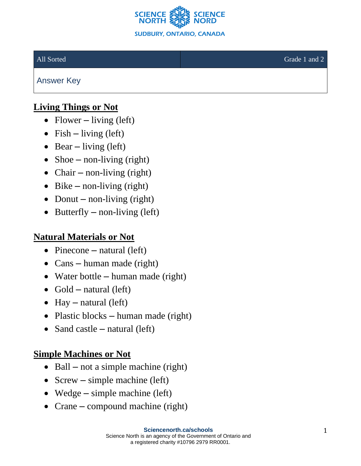

Answer Key

## **Living Things or Not**

- Flower living (left)
- Fish living (left)
- Bear living (left)
- Shoe non-living (right)
- Chair non-living (right)
- Bike non-living (right)
- Donut non-living (right)
- Butterfly non-living (left)

#### **Natural Materials or Not**

- Pinecone natural (left)
- Cans human made (right)
- Water bottle human made (right)
- Gold natural (left)
- Hay natural (left)
- Plastic blocks human made (right)
- Sand castle natural (left)

### **Simple Machines or Not**

- Ball not a simple machine (right)
- Screw simple machine (left)
- Wedge simple machine (left)
- Crane compound machine (right)

#### All Sorted Grade 1 and 2